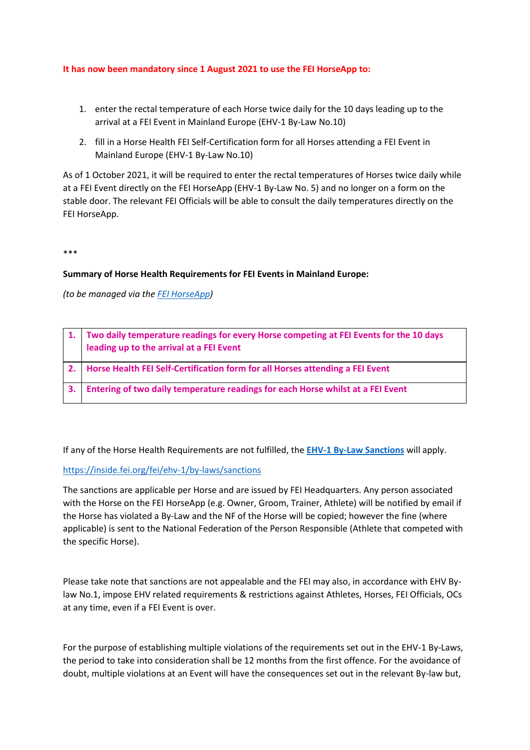## **It has now been mandatory since 1 August 2021 to use the FEI HorseApp to:**

- 1. enter the rectal temperature of each Horse twice daily for the 10 days leading up to the arrival at a FEI Event in Mainland Europe (EHV-1 By-Law No.10)
- 2. fill in a Horse Health FEI Self-Certification form for all Horses attending a FEI Event in Mainland Europe (EHV-1 By-Law No.10)

As of 1 October 2021, it will be required to enter the rectal temperatures of Horses twice daily while at a FEI Event directly on the FEI HorseApp (EHV-1 By-Law No. 5) and no longer on a form on the stable door. The relevant FEI Officials will be able to consult the daily temperatures directly on the FEI HorseApp.

\*\*\*

## **Summary of Horse Health Requirements for FEI Events in Mainland Europe:**

*(to be managed via the [FEI HorseApp\)](https://inside.fei.org/hub/it-services/mobile-apps/%20fei_horseapp)*

|    | 1. Two daily temperature readings for every Horse competing at FEI Events for the 10 days<br>leading up to the arrival at a FEI Event |
|----|---------------------------------------------------------------------------------------------------------------------------------------|
|    | Horse Health FEI Self-Certification form for all Horses attending a FEI Event                                                         |
| 3. | Entering of two daily temperature readings for each Horse whilst at a FEI Event                                                       |

If any of the Horse Health Requirements are not fulfilled, the **[EHV-1 By-Law Sanctions](https://inside.fei.org/fei/ehv-1/by-laws/sanctions)** will apply.

## <https://inside.fei.org/fei/ehv-1/by-laws/sanctions>

The sanctions are applicable per Horse and are issued by FEI Headquarters. Any person associated with the Horse on the FEI HorseApp (e.g. Owner, Groom, Trainer, Athlete) will be notified by email if the Horse has violated a By-Law and the NF of the Horse will be copied; however the fine (where applicable) is sent to the National Federation of the Person Responsible (Athlete that competed with the specific Horse).

Please take note that sanctions are not appealable and the FEI may also, in accordance with EHV Bylaw No.1, impose EHV related requirements & restrictions against Athletes, Horses, FEI Officials, OCs at any time, even if a FEI Event is over.

For the purpose of establishing multiple violations of the requirements set out in the EHV-1 By-Laws, the period to take into consideration shall be 12 months from the first offence. For the avoidance of doubt, multiple violations at an Event will have the consequences set out in the relevant By-law but,